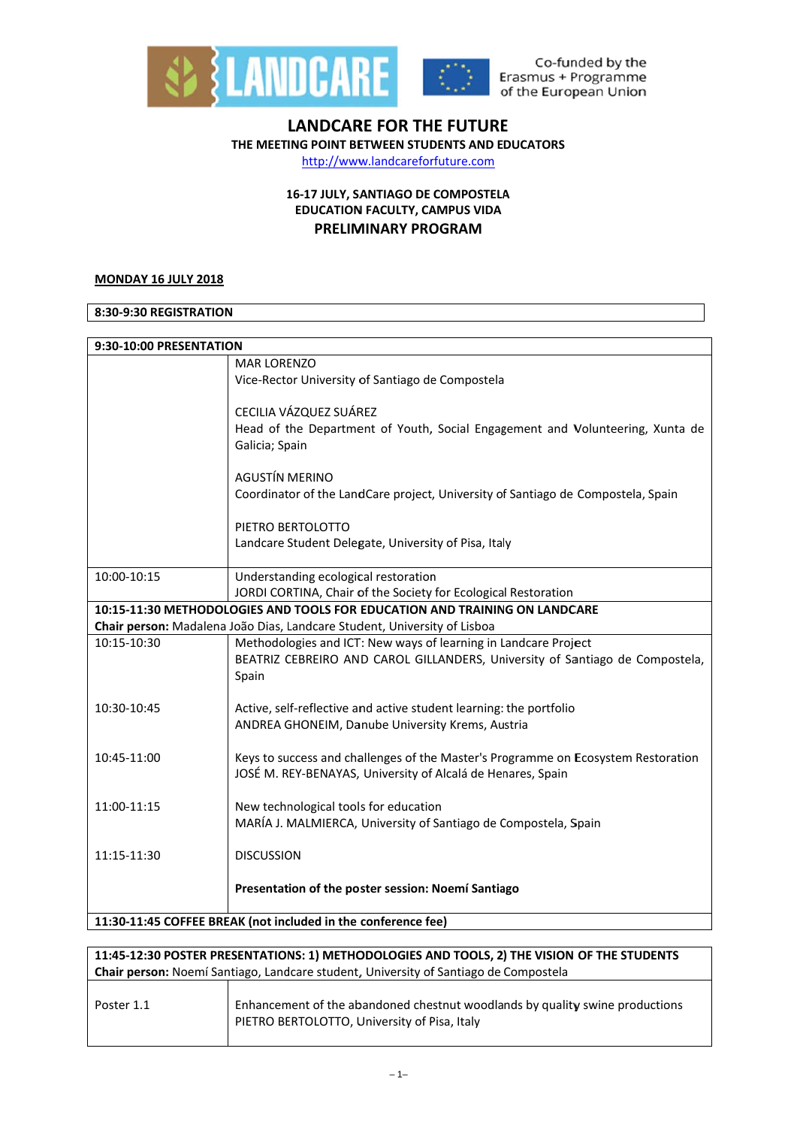



Co-funded by the Erasmus + Programme of the European Union

# **LANDCARE FOR THE FUTURE** THE MEETING POINT BETWEEN STUDENTS AND EDUCATORS

http://www.landcareforfuture.com

# 16-17 JULY, SANTIAGO DE COMPOSTELA **EDUCATION FACULTY, CAMPUS VIDA PRELIMINARY PROGRAM**

### **MONDAY 16 JULY 2018**

### 8:30-9:30 REGISTRATION

| 9:30-10:00 PRESENTATION |                                                                                   |
|-------------------------|-----------------------------------------------------------------------------------|
|                         | <b>MAR LORENZO</b>                                                                |
|                         | Vice-Rector University of Santiago de Compostela                                  |
|                         |                                                                                   |
|                         | CECILIA VÁZQUEZ SUÁREZ                                                            |
|                         | Head of the Department of Youth, Social Engagement and Volunteering, Xunta de     |
|                         | Galicia; Spain                                                                    |
|                         |                                                                                   |
|                         | <b>AGUSTÍN MERINO</b>                                                             |
|                         | Coordinator of the LandCare project, University of Santiago de Compostela, Spain  |
|                         |                                                                                   |
|                         | PIETRO BERTOLOTTO                                                                 |
|                         | Landcare Student Delegate, University of Pisa, Italy                              |
| 10:00-10:15             | Understanding ecological restoration                                              |
|                         | JORDI CORTINA, Chair of the Society for Ecological Restoration                    |
|                         | 10:15-11:30 METHODOLOGIES AND TOOLS FOR EDUCATION AND TRAINING ON LANDCARE        |
|                         | Chair person: Madalena João Dias, Landcare Student, University of Lisboa          |
| 10:15-10:30             | Methodologies and ICT: New ways of learning in Landcare Project                   |
|                         | BEATRIZ CEBREIRO AND CAROL GILLANDERS, University of Santiago de Compostela,      |
|                         | Spain                                                                             |
|                         |                                                                                   |
| 10:30-10:45             | Active, self-reflective and active student learning: the portfolio                |
|                         | ANDREA GHONEIM, Danube University Krems, Austria                                  |
|                         |                                                                                   |
| 10:45-11:00             | Keys to success and challenges of the Master's Programme on Ecosystem Restoration |
|                         | JOSÉ M. REY-BENAYAS, University of Alcalá de Henares, Spain                       |
| 11:00-11:15             | New technological tools for education                                             |
|                         | MARÍA J. MALMIERCA, University of Santiago de Compostela, Spain                   |
|                         |                                                                                   |
| 11:15-11:30             | <b>DISCUSSION</b>                                                                 |
|                         |                                                                                   |
|                         | Presentation of the poster session: Noemí Santiago                                |
|                         |                                                                                   |
|                         | 11:30-11:45 COFFEE BREAK (not included in the conference fee)                     |

| 11:45-12:30 POSTER PRESENTATIONS: 1) METHODOLOGIES AND TOOLS, 2) THE VISION OF THE STUDENTS |                                                                                                                              |  |
|---------------------------------------------------------------------------------------------|------------------------------------------------------------------------------------------------------------------------------|--|
| <b>Chair person:</b> Noemí Santiago, Landcare student, University of Santiago de Compostela |                                                                                                                              |  |
| Poster 1.1                                                                                  | Enhancement of the abandoned chestnut woodlands by quality swine productions<br>PIETRO BERTOLOTTO, University of Pisa, Italy |  |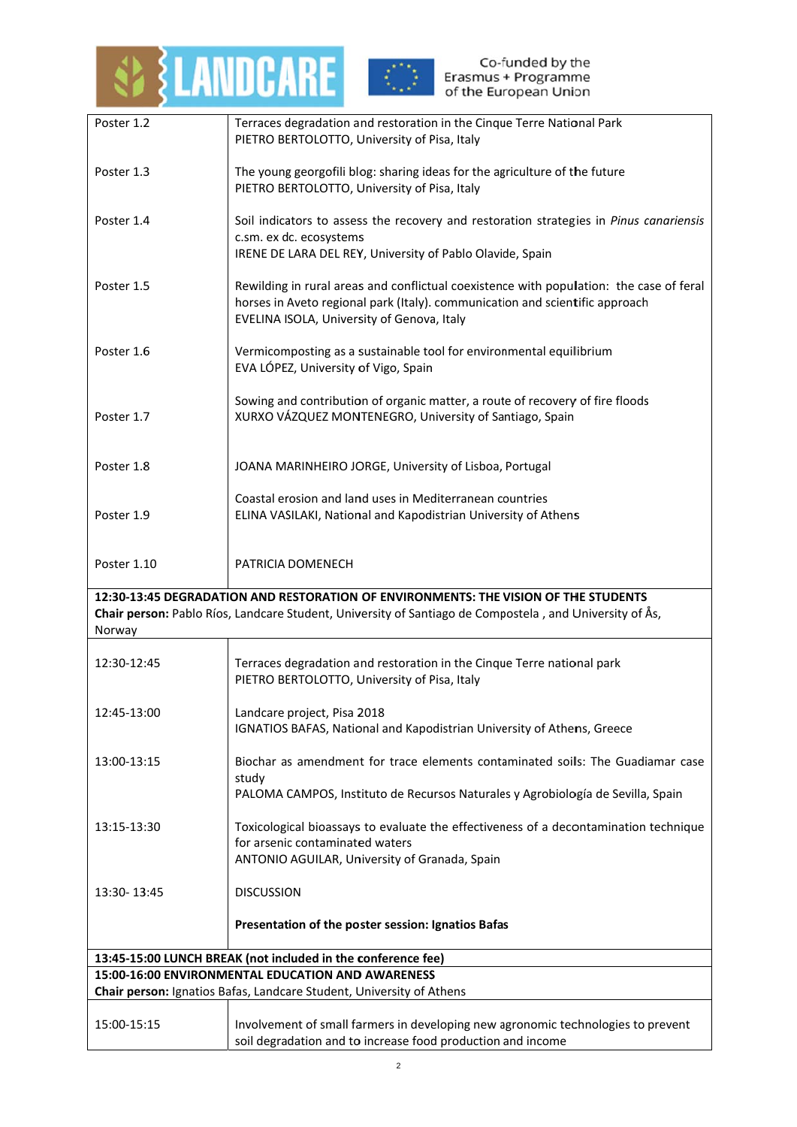

| Poster 1.2                                        | Terraces degradation and restoration in the Cinque Terre National Park                                                                                                                                                |  |
|---------------------------------------------------|-----------------------------------------------------------------------------------------------------------------------------------------------------------------------------------------------------------------------|--|
|                                                   | PIETRO BERTOLOTTO, University of Pisa, Italy                                                                                                                                                                          |  |
| Poster 1.3                                        | The young georgofili blog: sharing ideas for the agriculture of the future<br>PIETRO BERTOLOTTO, University of Pisa, Italy                                                                                            |  |
| Poster 1.4                                        | Soil indicators to assess the recovery and restoration strategies in Pinus canariensis                                                                                                                                |  |
|                                                   | c.sm. ex dc. ecosystems                                                                                                                                                                                               |  |
|                                                   | IRENE DE LARA DEL REY, University of Pablo Olavide, Spain                                                                                                                                                             |  |
| Poster 1.5                                        | Rewilding in rural areas and conflictual coexistence with population: the case of feral<br>horses in Aveto regional park (Italy). communication and scientific approach<br>EVELINA ISOLA, University of Genova, Italy |  |
| Poster 1.6                                        | Vermicomposting as a sustainable tool for environmental equilibrium<br>EVA LÓPEZ, University of Vigo, Spain                                                                                                           |  |
| Poster 1.7                                        | Sowing and contribution of organic matter, a route of recovery of fire floods<br>XURXO VÁZQUEZ MONTENEGRO, University of Santiago, Spain                                                                              |  |
| Poster 1.8                                        | JOANA MARINHEIRO JORGE, University of Lisboa, Portugal                                                                                                                                                                |  |
|                                                   | Coastal erosion and land uses in Mediterranean countries                                                                                                                                                              |  |
| Poster 1.9                                        | ELINA VASILAKI, National and Kapodistrian University of Athens                                                                                                                                                        |  |
|                                                   |                                                                                                                                                                                                                       |  |
| Poster 1.10                                       | PATRICIA DOMENECH                                                                                                                                                                                                     |  |
| Norway                                            | 12:30-13:45 DEGRADATION AND RESTORATION OF ENVIRONMENTS: THE VISION OF THE STUDENTS<br>Chair person: Pablo Ríos, Landcare Student, University of Santiago de Compostela, and University of Ås,                        |  |
| 12:30-12:45                                       | Terraces degradation and restoration in the Cinque Terre national park<br>PIETRO BERTOLOTTO, University of Pisa, Italy                                                                                                |  |
| 12:45-13:00                                       | Landcare project, Pisa 2018                                                                                                                                                                                           |  |
|                                                   | IGNATIOS BAFAS, National and Kapodistrian University of Athens, Greece                                                                                                                                                |  |
| 13:00-13:15                                       | Biochar as amendment for trace elements contaminated soils: The Guadiamar case                                                                                                                                        |  |
|                                                   | study<br>PALOMA CAMPOS, Instituto de Recursos Naturales y Agrobiología de Sevilla, Spain                                                                                                                              |  |
|                                                   |                                                                                                                                                                                                                       |  |
| 13:15-13:30                                       | Toxicological bioassays to evaluate the effectiveness of a decontamination technique                                                                                                                                  |  |
|                                                   | for arsenic contaminated waters<br>ANTONIO AGUILAR, University of Granada, Spain                                                                                                                                      |  |
|                                                   |                                                                                                                                                                                                                       |  |
| 13:30-13:45                                       | <b>DISCUSSION</b>                                                                                                                                                                                                     |  |
|                                                   | Presentation of the poster session: Ignatios Bafas                                                                                                                                                                    |  |
|                                                   | 13:45-15:00 LUNCH BREAK (not included in the conference fee)                                                                                                                                                          |  |
| 15:00-16:00 ENVIRONMENTAL EDUCATION AND AWARENESS |                                                                                                                                                                                                                       |  |
|                                                   | Chair person: Ignatios Bafas, Landcare Student, University of Athens                                                                                                                                                  |  |
|                                                   |                                                                                                                                                                                                                       |  |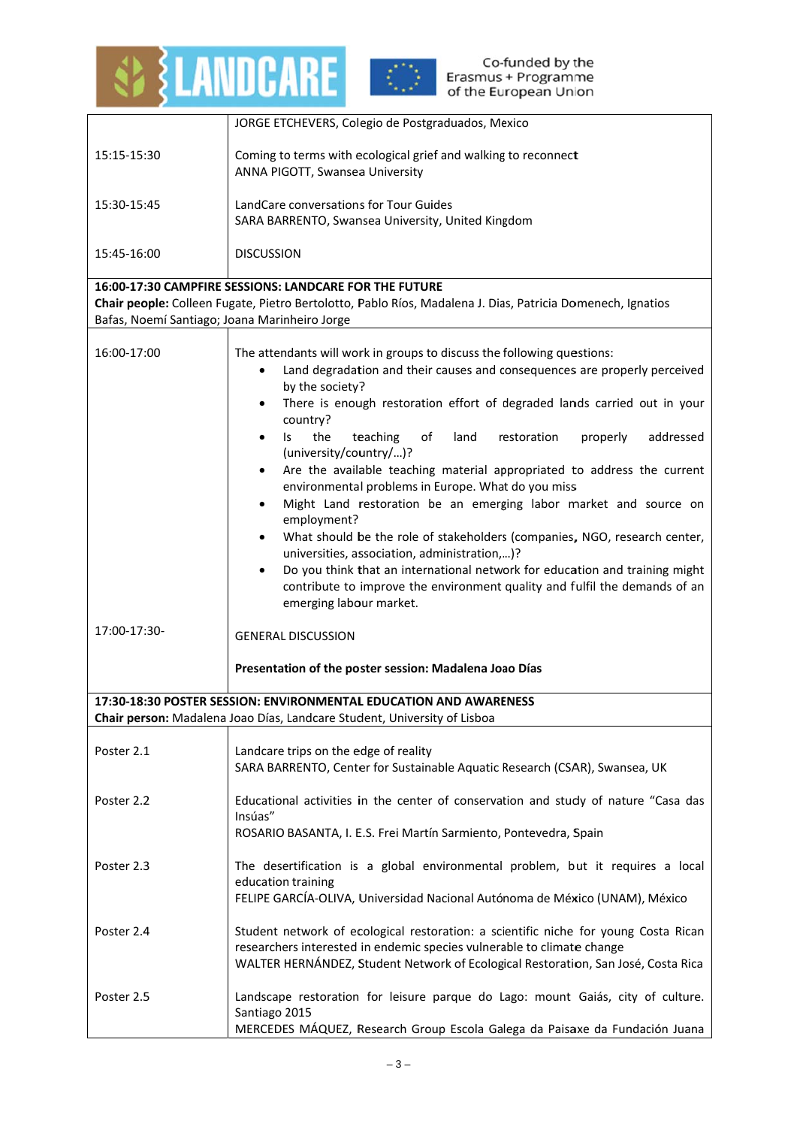



|                                               | JORGE ETCHEVERS, Colegio de Postgraduados, Mexico                                                                                                                                                                                                                                                                                                                                                                                                                                                                                                                                                                                                                                                                                                                                                                                                                                                                                           |  |  |
|-----------------------------------------------|---------------------------------------------------------------------------------------------------------------------------------------------------------------------------------------------------------------------------------------------------------------------------------------------------------------------------------------------------------------------------------------------------------------------------------------------------------------------------------------------------------------------------------------------------------------------------------------------------------------------------------------------------------------------------------------------------------------------------------------------------------------------------------------------------------------------------------------------------------------------------------------------------------------------------------------------|--|--|
| 15:15-15:30                                   | Coming to terms with ecological grief and walking to reconnect<br>ANNA PIGOTT, Swansea University                                                                                                                                                                                                                                                                                                                                                                                                                                                                                                                                                                                                                                                                                                                                                                                                                                           |  |  |
| 15:30-15:45                                   | LandCare conversations for Tour Guides                                                                                                                                                                                                                                                                                                                                                                                                                                                                                                                                                                                                                                                                                                                                                                                                                                                                                                      |  |  |
|                                               | SARA BARRENTO, Swansea University, United Kingdom                                                                                                                                                                                                                                                                                                                                                                                                                                                                                                                                                                                                                                                                                                                                                                                                                                                                                           |  |  |
| 15:45-16:00                                   | <b>DISCUSSION</b>                                                                                                                                                                                                                                                                                                                                                                                                                                                                                                                                                                                                                                                                                                                                                                                                                                                                                                                           |  |  |
|                                               | 16:00-17:30 CAMPFIRE SESSIONS: LANDCARE FOR THE FUTURE<br>Chair people: Colleen Fugate, Pietro Bertolotto, Pablo Ríos, Madalena J. Dias, Patricia Domenech, Ignatios                                                                                                                                                                                                                                                                                                                                                                                                                                                                                                                                                                                                                                                                                                                                                                        |  |  |
| Bafas, Noemí Santiago; Joana Marinheiro Jorge |                                                                                                                                                                                                                                                                                                                                                                                                                                                                                                                                                                                                                                                                                                                                                                                                                                                                                                                                             |  |  |
| 16:00-17:00                                   | The attendants will work in groups to discuss the following questions:<br>Land degradation and their causes and consequences are properly perceived<br>by the society?<br>There is enough restoration effort of degraded lands carried out in your<br>country?<br>the<br>teaching<br>of<br>addressed<br>land<br>restoration<br>properly<br>ls.<br>$\bullet$<br>(university/country/)?<br>Are the available teaching material appropriated to address the current<br>$\bullet$<br>environmental problems in Europe. What do you miss<br>Might Land restoration be an emerging labor market and source on<br>employment?<br>What should be the role of stakeholders (companies, NGO, research center,<br>universities, association, administration,)?<br>Do you think that an international network for education and training might<br>contribute to improve the environment quality and fulfil the demands of an<br>emerging labour market. |  |  |
| 17:00-17:30-                                  | <b>GENERAL DISCUSSION</b><br>Presentation of the poster session: Madalena Joao Días                                                                                                                                                                                                                                                                                                                                                                                                                                                                                                                                                                                                                                                                                                                                                                                                                                                         |  |  |
|                                               | 17:30-18:30 POSTER SESSION: ENVIRONMENTAL EDUCATION AND AWARENESS                                                                                                                                                                                                                                                                                                                                                                                                                                                                                                                                                                                                                                                                                                                                                                                                                                                                           |  |  |
|                                               | Chair person: Madalena Joao Días, Landcare Student, University of Lisboa                                                                                                                                                                                                                                                                                                                                                                                                                                                                                                                                                                                                                                                                                                                                                                                                                                                                    |  |  |
| Poster 2.1                                    | Landcare trips on the edge of reality                                                                                                                                                                                                                                                                                                                                                                                                                                                                                                                                                                                                                                                                                                                                                                                                                                                                                                       |  |  |
|                                               | SARA BARRENTO, Center for Sustainable Aquatic Research (CSAR), Swansea, UK                                                                                                                                                                                                                                                                                                                                                                                                                                                                                                                                                                                                                                                                                                                                                                                                                                                                  |  |  |
| Poster 2.2                                    | Educational activities in the center of conservation and study of nature "Casa das<br>Insúas"<br>ROSARIO BASANTA, I. E.S. Frei Martín Sarmiento, Pontevedra, Spain                                                                                                                                                                                                                                                                                                                                                                                                                                                                                                                                                                                                                                                                                                                                                                          |  |  |
| Poster 2.3                                    | The desertification is a global environmental problem, but it requires a local<br>education training<br>FELIPE GARCÍA-OLIVA, Universidad Nacional Autónoma de México (UNAM), México                                                                                                                                                                                                                                                                                                                                                                                                                                                                                                                                                                                                                                                                                                                                                         |  |  |
| Poster 2.4                                    | Student network of ecological restoration: a scientific niche for young Costa Rican<br>researchers interested in endemic species vulnerable to climate change<br>WALTER HERNÁNDEZ, Student Network of Ecological Restoration, San José, Costa Rica                                                                                                                                                                                                                                                                                                                                                                                                                                                                                                                                                                                                                                                                                          |  |  |
| Poster 2.5                                    | Landscape restoration for leisure parque do Lago: mount Gaiás, city of culture.<br>Santiago 2015<br>MERCEDES MÁQUEZ, Research Group Escola Galega da Paisaxe da Fundación Juana                                                                                                                                                                                                                                                                                                                                                                                                                                                                                                                                                                                                                                                                                                                                                             |  |  |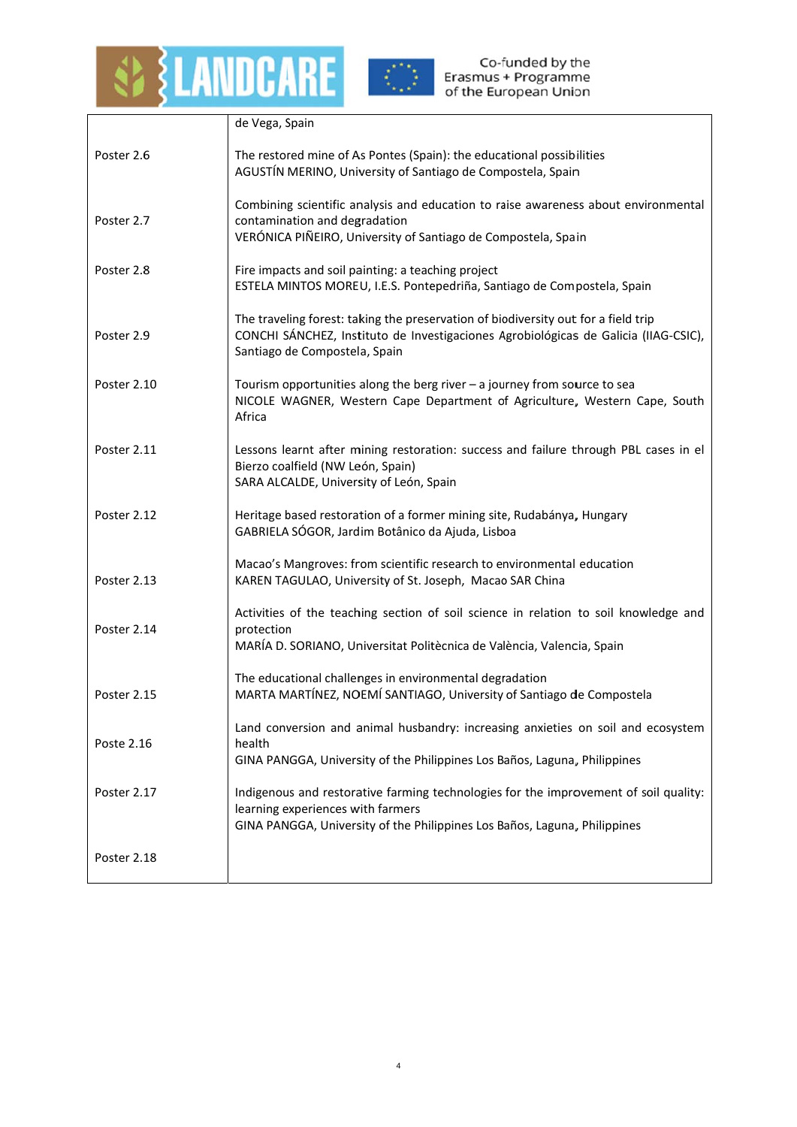



|             | de Vega, Spain                                                                                                                                                                                             |
|-------------|------------------------------------------------------------------------------------------------------------------------------------------------------------------------------------------------------------|
| Poster 2.6  | The restored mine of As Pontes (Spain): the educational possibilities<br>AGUSTÍN MERINO, University of Santiago de Compostela, Spain                                                                       |
| Poster 2.7  | Combining scientific analysis and education to raise awareness about environmental<br>contamination and degradation<br>VERÓNICA PIÑEIRO, University of Santiago de Compostela, Spain                       |
| Poster 2.8  | Fire impacts and soil painting: a teaching project<br>ESTELA MINTOS MOREU, I.E.S. Pontepedriña, Santiago de Compostela, Spain                                                                              |
| Poster 2.9  | The traveling forest: taking the preservation of biodiversity out for a field trip<br>CONCHI SÁNCHEZ, Instituto de Investigaciones Agrobiológicas de Galicia (IIAG-CSIC),<br>Santiago de Compostela, Spain |
| Poster 2.10 | Tourism opportunities along the berg river $-$ a journey from source to sea<br>NICOLE WAGNER, Western Cape Department of Agriculture, Western Cape, South<br>Africa                                        |
| Poster 2.11 | Lessons learnt after mining restoration: success and failure through PBL cases in el<br>Bierzo coalfield (NW León, Spain)<br>SARA ALCALDE, University of León, Spain                                       |
| Poster 2.12 | Heritage based restoration of a former mining site, Rudabánya, Hungary<br>GABRIELA SÓGOR, Jardim Botânico da Ajuda, Lisboa                                                                                 |
| Poster 2.13 | Macao's Mangroves: from scientific research to environmental education<br>KAREN TAGULAO, University of St. Joseph, Macao SAR China                                                                         |
| Poster 2.14 | Activities of the teaching section of soil science in relation to soil knowledge and<br>protection<br>MARÍA D. SORIANO, Universitat Politècnica de València, Valencia, Spain                               |
| Poster 2.15 | The educational challenges in environmental degradation<br>MARTA MARTÍNEZ, NOEMÍ SANTIAGO, University of Santiago de Compostela                                                                            |
| Poste 2.16  | Land conversion and animal husbandry: increasing anxieties on soil and ecosystem<br>health<br>GINA PANGGA, University of the Philippines Los Baños, Laguna, Philippines                                    |
| Poster 2.17 | Indigenous and restorative farming technologies for the improvement of soil quality:<br>learning experiences with farmers<br>GINA PANGGA, University of the Philippines Los Baños, Laguna, Philippines     |
| Poster 2.18 |                                                                                                                                                                                                            |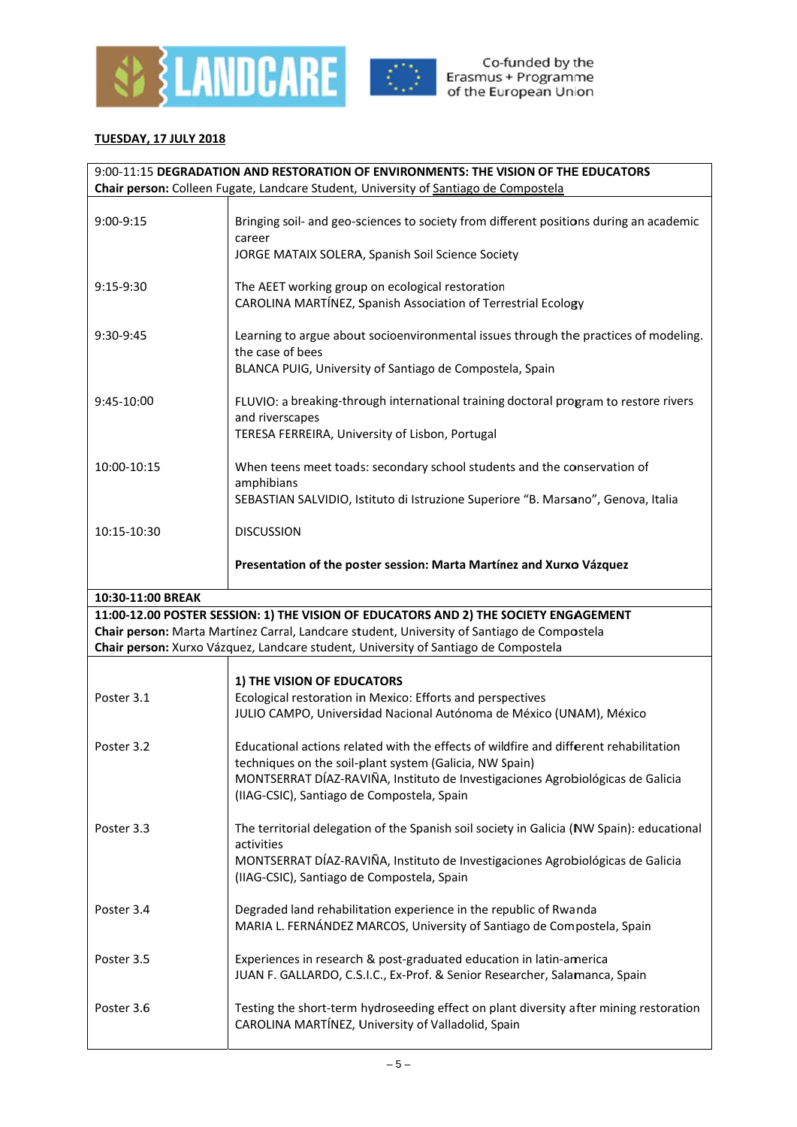



# **TUESDAY, 17 JULY 2018**

| 9:00-11:15 DEGRADATION AND RESTORATION OF ENVIRONMENTS: THE VISION OF THE EDUCATORS  |                                                                                                                                                                                                                                         |  |
|--------------------------------------------------------------------------------------|-----------------------------------------------------------------------------------------------------------------------------------------------------------------------------------------------------------------------------------------|--|
| Chair person: Colleen Fugate, Landcare Student, University of Santiago de Compostela |                                                                                                                                                                                                                                         |  |
| 9:00-9:15                                                                            | Bringing soil- and geo-sciences to society from different positions during an academic<br>career<br>JORGE MATAIX SOLERA, Spanish Soil Science Society                                                                                   |  |
|                                                                                      |                                                                                                                                                                                                                                         |  |
| $9:15-9:30$                                                                          | The AEET working group on ecological restoration<br>CAROLINA MARTÍNEZ, Spanish Association of Terrestrial Ecology                                                                                                                       |  |
| 9:30-9:45                                                                            | Learning to argue about socioenvironmental issues through the practices of modeling.<br>the case of bees<br>BLANCA PUIG, University of Santiago de Compostela, Spain                                                                    |  |
| 9:45-10:00                                                                           | FLUVIO: a breaking-through international training doctoral program to restore rivers<br>and riverscapes<br>TERESA FERREIRA, University of Lisbon, Portugal                                                                              |  |
| 10:00-10:15                                                                          | When teens meet toads: secondary school students and the conservation of<br>amphibians<br>SEBASTIAN SALVIDIO, Istituto di Istruzione Superiore "B. Marsano", Genova, Italia                                                             |  |
| 10:15-10:30                                                                          | <b>DISCUSSION</b>                                                                                                                                                                                                                       |  |
|                                                                                      | Presentation of the poster session: Marta Martínez and Xurxo Vázquez                                                                                                                                                                    |  |
| 10:30-11:00 BREAK                                                                    |                                                                                                                                                                                                                                         |  |
|                                                                                      | 11:00-12.00 POSTER SESSION: 1) THE VISION OF EDUCATORS AND 2) THE SOCIETY ENGAGEMENT                                                                                                                                                    |  |
|                                                                                      | Chair person: Marta Martínez Carral, Landcare student, University of Santiago de Compostela                                                                                                                                             |  |
|                                                                                      | Chair person: Xurxo Vázquez, Landcare student, University of Santiago de Compostela                                                                                                                                                     |  |
|                                                                                      |                                                                                                                                                                                                                                         |  |
|                                                                                      | 1) THE VISION OF EDUCATORS                                                                                                                                                                                                              |  |
| Poster 3.1                                                                           | Ecological restoration in Mexico: Efforts and perspectives<br>JULIO CAMPO, Universidad Nacional Autónoma de México (UNAM), México                                                                                                       |  |
| Poster 3.2                                                                           | Educational actions related with the effects of wildfire and different rehabilitation<br>techniques on the soil-plant system (Galicia, NW Spain)<br>MONTSERRAT DÍAZ-RAVIÑA, Instituto de Investigaciones Agrobiológicas de Galicia      |  |
|                                                                                      | (IIAG-CSIC), Santiago de Compostela, Spain                                                                                                                                                                                              |  |
| Poster 3.3                                                                           | The territorial delegation of the Spanish soil society in Galicia (NW Spain): educational<br>activities<br>MONTSERRAT DÍAZ-RAVIÑA, Instituto de Investigaciones Agrobiológicas de Galicia<br>(IIAG-CSIC), Santiago de Compostela, Spain |  |
| Poster 3.4                                                                           | Degraded land rehabilitation experience in the republic of Rwanda<br>MARIA L. FERNÁNDEZ MARCOS, University of Santiago de Compostela, Spain                                                                                             |  |
| Poster 3.5                                                                           | Experiences in research & post-graduated education in latin-america<br>JUAN F. GALLARDO, C.S.I.C., Ex-Prof. & Senior Researcher, Salamanca, Spain                                                                                       |  |
| Poster 3.6                                                                           | Testing the short-term hydroseeding effect on plant diversity after mining restoration<br>CAROLINA MARTÍNEZ, University of Valladolid, Spain                                                                                            |  |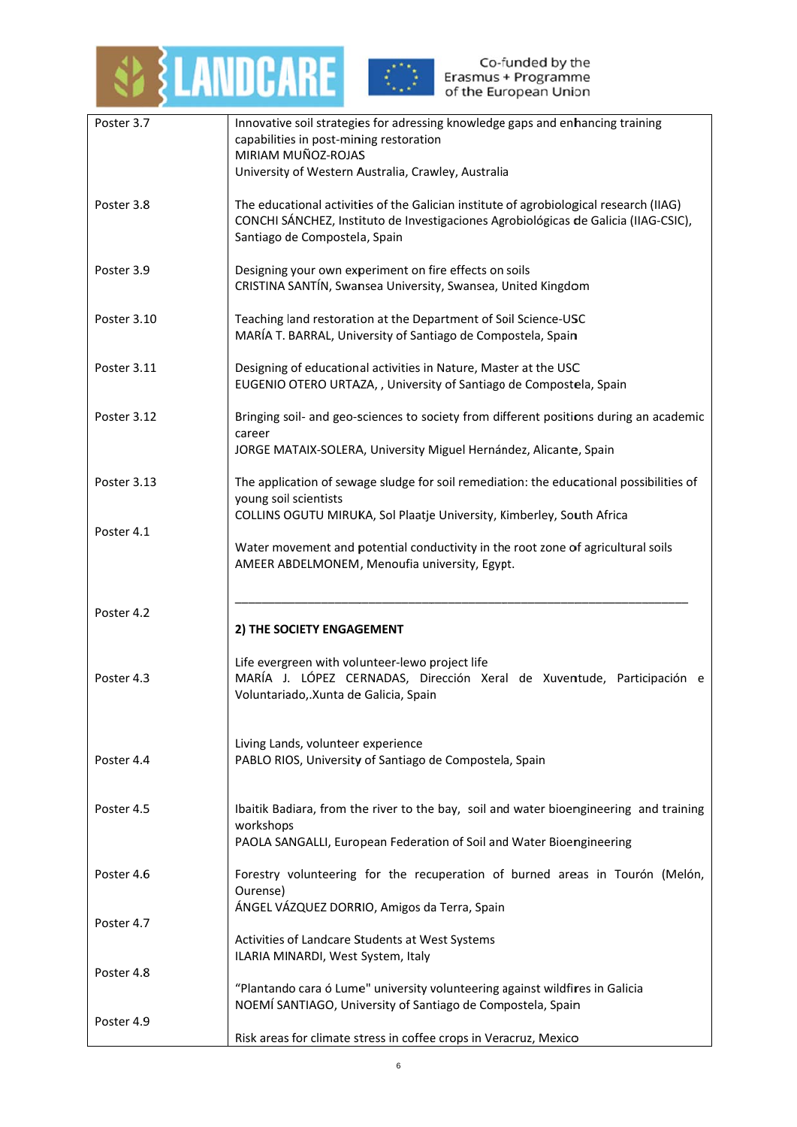



| Poster 3.7  | Innovative soil strategies for adressing knowledge gaps and enhancing training                                                                                                |
|-------------|-------------------------------------------------------------------------------------------------------------------------------------------------------------------------------|
|             | capabilities in post-mining restoration<br>MIRIAM MUÑOZ-ROJAS                                                                                                                 |
|             | University of Western Australia, Crawley, Australia                                                                                                                           |
|             |                                                                                                                                                                               |
| Poster 3.8  | The educational activities of the Galician institute of agrobiological research (IIAG)<br>CONCHI SÁNCHEZ, Instituto de Investigaciones Agrobiológicas de Galicia (IIAG-CSIC), |
|             | Santiago de Compostela, Spain                                                                                                                                                 |
|             |                                                                                                                                                                               |
| Poster 3.9  | Designing your own experiment on fire effects on soils<br>CRISTINA SANTÍN, Swansea University, Swansea, United Kingdom                                                        |
|             |                                                                                                                                                                               |
| Poster 3.10 | Teaching land restoration at the Department of Soil Science-USC                                                                                                               |
|             | MARÍA T. BARRAL, University of Santiago de Compostela, Spain                                                                                                                  |
| Poster 3.11 | Designing of educational activities in Nature, Master at the USC                                                                                                              |
|             | EUGENIO OTERO URTAZA,, University of Santiago de Compostela, Spain                                                                                                            |
| Poster 3.12 | Bringing soil- and geo-sciences to society from different positions during an academic                                                                                        |
|             | career                                                                                                                                                                        |
|             | JORGE MATAIX-SOLERA, University Miguel Hernández, Alicante, Spain                                                                                                             |
| Poster 3.13 | The application of sewage sludge for soil remediation: the educational possibilities of                                                                                       |
|             | young soil scientists                                                                                                                                                         |
| Poster 4.1  | COLLINS OGUTU MIRUKA, Sol Plaatje University, Kimberley, South Africa                                                                                                         |
|             | Water movement and potential conductivity in the root zone of agricultural soils                                                                                              |
|             | AMEER ABDELMONEM, Menoufia university, Egypt.                                                                                                                                 |
|             |                                                                                                                                                                               |
| Poster 4.2  |                                                                                                                                                                               |
|             | 2) THE SOCIETY ENGAGEMENT                                                                                                                                                     |
|             | Life evergreen with volunteer-lewo project life                                                                                                                               |
| Poster 4.3  | MARÍA J. LÓPEZ CERNADAS, Dirección Xeral de Xuventude, Participación e                                                                                                        |
|             | Voluntariado, Xunta de Galicia, Spain                                                                                                                                         |
|             |                                                                                                                                                                               |
| Poster 4.4  | Living Lands, volunteer experience<br>PABLO RIOS, University of Santiago de Compostela, Spain                                                                                 |
|             |                                                                                                                                                                               |
|             |                                                                                                                                                                               |
| Poster 4.5  | Ibaitik Badiara, from the river to the bay, soil and water bioengineering and training<br>workshops                                                                           |
|             | PAOLA SANGALLI, European Federation of Soil and Water Bioengineering                                                                                                          |
|             |                                                                                                                                                                               |
| Poster 4.6  | Forestry volunteering for the recuperation of burned areas in Tourón (Melón,<br>Ourense)                                                                                      |
|             | ÁNGEL VÁZQUEZ DORRIO, Amigos da Terra, Spain                                                                                                                                  |
| Poster 4.7  | Activities of Landcare Students at West Systems                                                                                                                               |
|             | ILARIA MINARDI, West System, Italy                                                                                                                                            |
| Poster 4.8  |                                                                                                                                                                               |
|             | "Plantando cara ó Lume" university volunteering against wildfires in Galicia<br>NOEMÍ SANTIAGO, University of Santiago de Compostela, Spain                                   |
| Poster 4.9  |                                                                                                                                                                               |
|             | Risk areas for climate stress in coffee crops in Veracruz, Mexico                                                                                                             |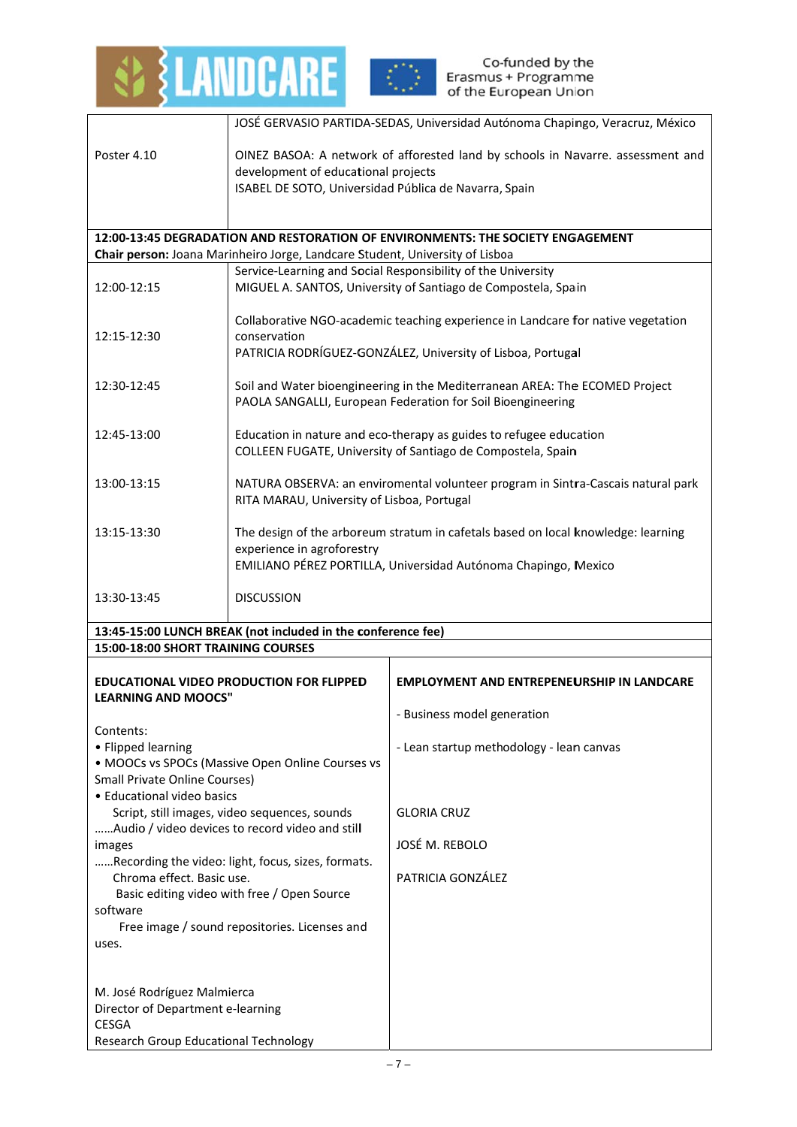



|                                                                                 |                                                                                                                                                                                   | JOSÉ GERVASIO PARTIDA-SEDAS, Universidad Autónoma Chapingo, Veracruz, México                                                  |
|---------------------------------------------------------------------------------|-----------------------------------------------------------------------------------------------------------------------------------------------------------------------------------|-------------------------------------------------------------------------------------------------------------------------------|
| Poster 4.10                                                                     |                                                                                                                                                                                   | OINEZ BASOA: A network of afforested land by schools in Navarre. assessment and                                               |
|                                                                                 | development of educational projects<br>ISABEL DE SOTO, Universidad Pública de Navarra, Spain                                                                                      |                                                                                                                               |
|                                                                                 |                                                                                                                                                                                   |                                                                                                                               |
|                                                                                 |                                                                                                                                                                                   | 12:00-13:45 DEGRADATION AND RESTORATION OF ENVIRONMENTS: THE SOCIETY ENGAGEMENT                                               |
|                                                                                 | Chair person: Joana Marinheiro Jorge, Landcare Student, University of Lisboa                                                                                                      |                                                                                                                               |
| 12:00-12:15                                                                     |                                                                                                                                                                                   | Service-Learning and Social Responsibility of the University<br>MIGUEL A. SANTOS, University of Santiago de Compostela, Spain |
| 12:15-12:30                                                                     | Collaborative NGO-academic teaching experience in Landcare for native vegetation<br>conservation<br>PATRICIA RODRÍGUEZ-GONZÁLEZ, University of Lisboa, Portugal                   |                                                                                                                               |
| 12:30-12:45                                                                     | Soil and Water bioengineering in the Mediterranean AREA: The ECOMED Project<br>PAOLA SANGALLI, European Federation for Soil Bioengineering                                        |                                                                                                                               |
| 12:45-13:00                                                                     | Education in nature and eco-therapy as guides to refugee education<br>COLLEEN FUGATE, University of Santiago de Compostela, Spain                                                 |                                                                                                                               |
| 13:00-13:15                                                                     | NATURA OBSERVA: an enviromental volunteer program in Sintra-Cascais natural park<br>RITA MARAU, University of Lisboa, Portugal                                                    |                                                                                                                               |
| 13:15-13:30                                                                     | The design of the arboreum stratum in cafetals based on local knowledge: learning<br>experience in agroforestry<br>EMILIANO PÉREZ PORTILLA, Universidad Autónoma Chapingo, Mexico |                                                                                                                               |
| 13:30-13:45                                                                     | <b>DISCUSSION</b>                                                                                                                                                                 |                                                                                                                               |
|                                                                                 | 13:45-15:00 LUNCH BREAK (not included in the conference fee)                                                                                                                      |                                                                                                                               |
| 15:00-18:00 SHORT TRAINING COURSES                                              |                                                                                                                                                                                   |                                                                                                                               |
|                                                                                 | <b>EDUCATIONAL VIDEO PRODUCTION FOR FLIPPED</b>                                                                                                                                   | <b>EMPLOYMENT AND ENTREPENEURSHIP IN LANDCARE</b>                                                                             |
| <b>LEARNING AND MOOCS"</b>                                                      |                                                                                                                                                                                   | - Business model generation                                                                                                   |
| Contents:<br>• Flipped learning                                                 |                                                                                                                                                                                   |                                                                                                                               |
|                                                                                 | • MOOCs vs SPOCs (Massive Open Online Courses vs                                                                                                                                  | - Lean startup methodology - lean canvas                                                                                      |
| <b>Small Private Online Courses)</b><br>• Educational video basics              |                                                                                                                                                                                   |                                                                                                                               |
|                                                                                 | Script, still images, video sequences, sounds                                                                                                                                     | <b>GLORIA CRUZ</b>                                                                                                            |
| Audio / video devices to record video and still<br>images                       |                                                                                                                                                                                   | JOSÉ M. REBOLO                                                                                                                |
| Recording the video: light, focus, sizes, formats.<br>Chroma effect. Basic use. |                                                                                                                                                                                   | PATRICIA GONZÁLEZ                                                                                                             |
| Basic editing video with free / Open Source                                     |                                                                                                                                                                                   |                                                                                                                               |
| software<br>Free image / sound repositories. Licenses and                       |                                                                                                                                                                                   |                                                                                                                               |
| uses.                                                                           |                                                                                                                                                                                   |                                                                                                                               |
|                                                                                 |                                                                                                                                                                                   |                                                                                                                               |
| M. José Rodríguez Malmierca                                                     |                                                                                                                                                                                   |                                                                                                                               |
| Director of Department e-learning<br><b>CESGA</b>                               |                                                                                                                                                                                   |                                                                                                                               |
| Research Group Educational Technology                                           |                                                                                                                                                                                   |                                                                                                                               |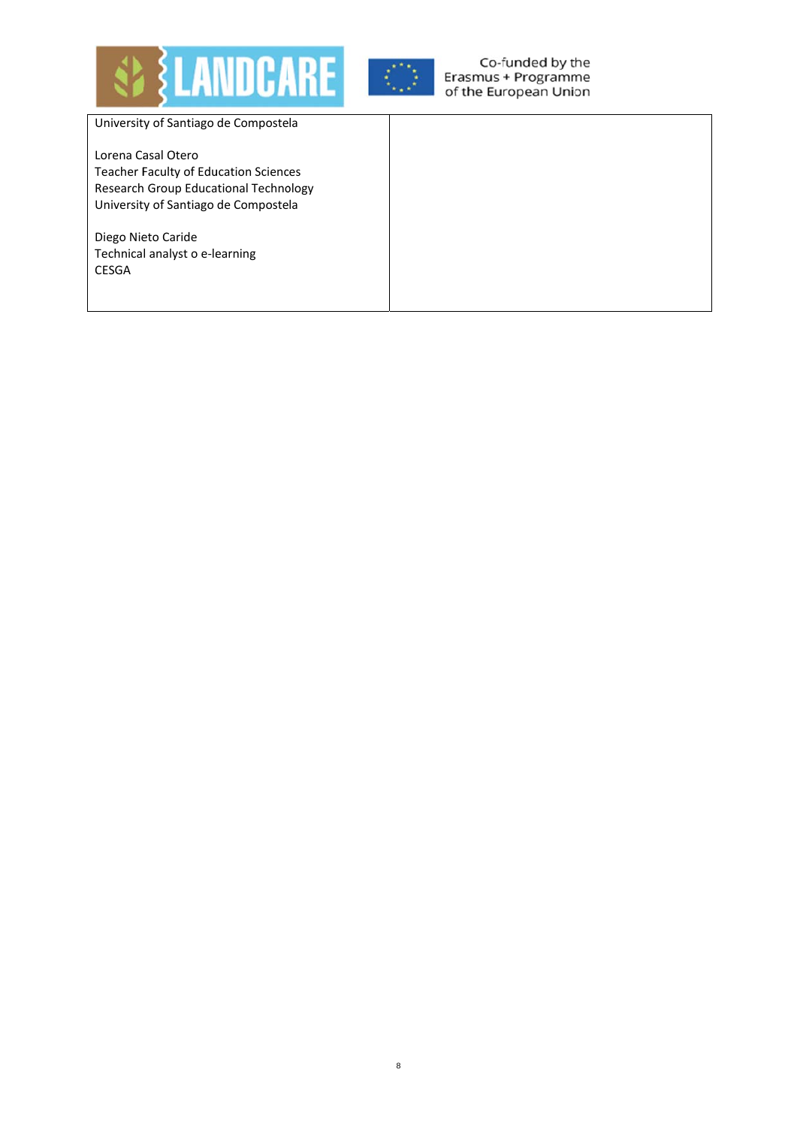



Co-funded by the Erasmus + Programme of the European Union

University of Santiago de Compostela

Lorena Casal Otero **Teacher Faculty of Education Sciences** Research Group Educational Technology University of Santiago de Compostela

Diego Nieto Caride Technical analyst o e-learning **CESGA**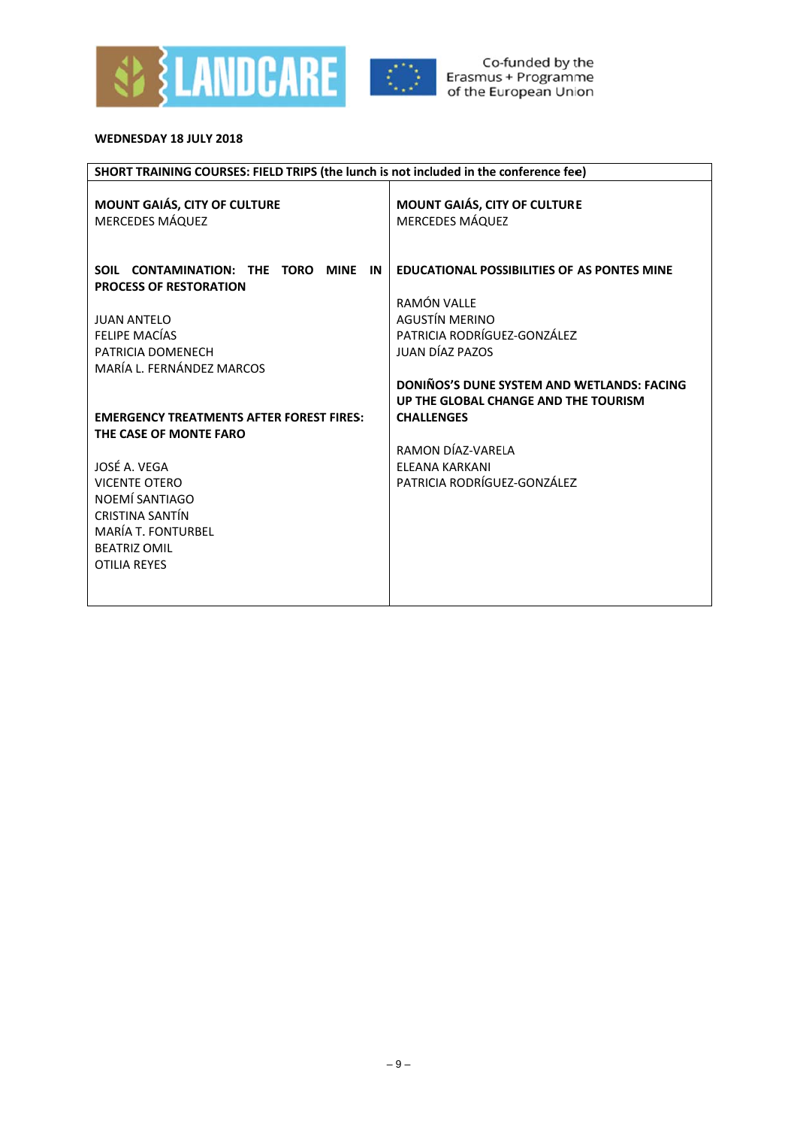



### WEDNESDAY 18 JULY 2018

| SHORT TRAINING COURSES: FIELD TRIPS (the lunch is not included in the conference fee) |                                                                                    |  |
|---------------------------------------------------------------------------------------|------------------------------------------------------------------------------------|--|
| MOUNT GAIÁS, CITY OF CULTURE<br><b>MERCEDES MÁQUEZ</b>                                | MOUNT GAIÁS, CITY OF CULTURE<br><b>MERCEDES MÁQUEZ</b>                             |  |
| SOIL CONTAMINATION: THE<br>TORO<br><b>MINE</b><br>IN<br><b>PROCESS OF RESTORATION</b> | <b>EDUCATIONAL POSSIBILITIES OF AS PONTES MINE</b><br>RAMÓN VALLE                  |  |
| <b>JUAN ANTELO</b>                                                                    | <b>AGUSTÍN MERINO</b>                                                              |  |
| <b>FELIPE MACÍAS</b>                                                                  | PATRICIA RODRÍGUEZ-GONZÁLEZ                                                        |  |
| PATRICIA DOMENECH                                                                     | JUAN DÍAZ PAZOS                                                                    |  |
| MARÍA L. FERNÁNDEZ MARCOS                                                             |                                                                                    |  |
|                                                                                       | DONIÑOS'S DUNE SYSTEM AND WETLANDS: FACING<br>UP THE GLOBAL CHANGE AND THE TOURISM |  |
| <b>EMERGENCY TREATMENTS AFTER FOREST FIRES:</b>                                       | <b>CHALLENGES</b>                                                                  |  |
| THE CASE OF MONTE FARO                                                                |                                                                                    |  |
|                                                                                       | RAMON DÍAZ-VARELA                                                                  |  |
| JOSÉ A. VEGA                                                                          | <b>FLFANA KARKANI</b>                                                              |  |
| <b>VICENTE OTERO</b>                                                                  | PATRICIA RODRÍGUEZ-GONZÁLEZ                                                        |  |
| NOEMÍ SANTIAGO                                                                        |                                                                                    |  |
| CRISTINA SANTÍN                                                                       |                                                                                    |  |
| <b>MARÍA T. FONTURBEL</b>                                                             |                                                                                    |  |
| <b>BEATRIZ OMIL</b>                                                                   |                                                                                    |  |
| <b>OTILIA REYES</b>                                                                   |                                                                                    |  |
|                                                                                       |                                                                                    |  |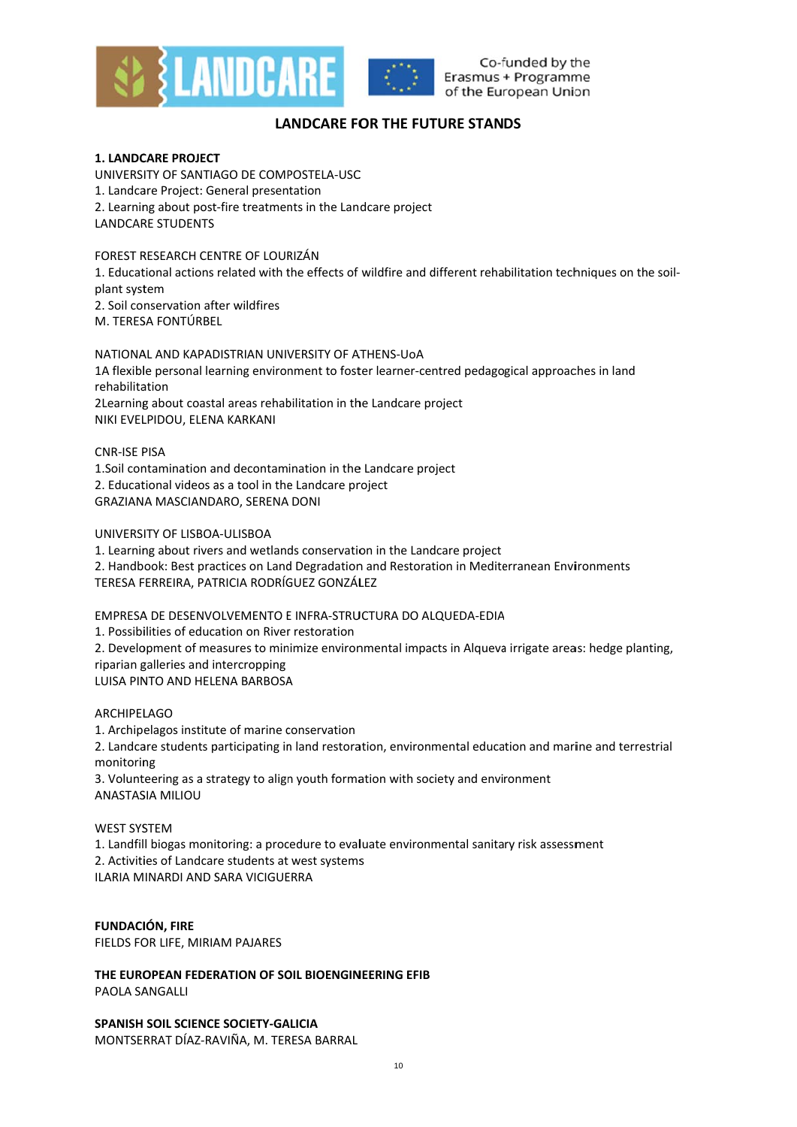

Co-funded by the Erasmus + Programme of the European Union

# **LANDCARE FOR THE FUTURE STANDS**

### **1. LANDCARE PROJECT**

UNIVERSITY OF SANTIAGO DE COMPOSTELA-USC 1. Landcare Project: General presentation 2. Learning about post-fire treatments in the Landcare project **LANDCARE STUDENTS** 

FOREST RESEARCH CENTRE OF LOURIZÁN 1. Educational actions related with the effects of wildfire and different rehabilitation techniques on the soilplant system 2. Soil conservation after wildfires M. TERESA FONTÚRBEL

NATIONAL AND KAPADISTRIAN UNIVERSITY OF ATHENS-UOA 1A flexible personal learning environment to foster learner-centred pedagogical approaches in land rehabilitation 2Learning about coastal areas rehabilitation in the Landcare project NIKI EVELPIDOU. ELENA KARKANI

CNR-ISE DISA 1.Soil contamination and decontamination in the Landcare project 2. Educational videos as a tool in the Landcare project GRAZIANA MASCIANDARO, SERENA DONI

### UNIVERSITY OF LISBOA-ULISBOA

1. Learning about rivers and wetlands conservation in the Landcare project 2. Handbook: Best practices on Land Degradation and Restoration in Mediterranean Environments TERESA FERREIRA, PATRICIA RODRÍGUEZ GONZÁLEZ

EMPRESA DE DESENVOLVEMENTO E INFRA-STRUCTURA DO ALQUEDA-EDIA

1. Possibilities of education on River restoration 2. Development of measures to minimize environmental impacts in Algueva irrigate areas: hedge planting,

riparian galleries and intercropping LUISA PINTO AND HELENA BARBOSA

### **ARCHIPFLAGO**

1. Archipelagos institute of marine conservation 2. Landcare students participating in land restoration, environmental education and marine and terrestrial monitoring

3. Volunteering as a strategy to align youth formation with society and environment **ANASTASIA MILIOU** 

### **WEST SYSTEM**

1. Landfill biogas monitoring: a procedure to evaluate environmental sanitary risk assessment 2. Activities of Landcare students at west systems ILARIA MINARDI AND SARA VICIGUERRA

**FUNDACIÓN, FIRE** FIELDS FOR LIFE, MIRIAM PAJARES

THE EUROPEAN FEDERATION OF SOIL BIOENGINEERING EFIB PAOLA SANGALLI

SPANISH SOIL SCIENCE SOCIETY-GALICIA MONTSERRAT DÍAZ-RAVIÑA, M. TERESA BARRAL